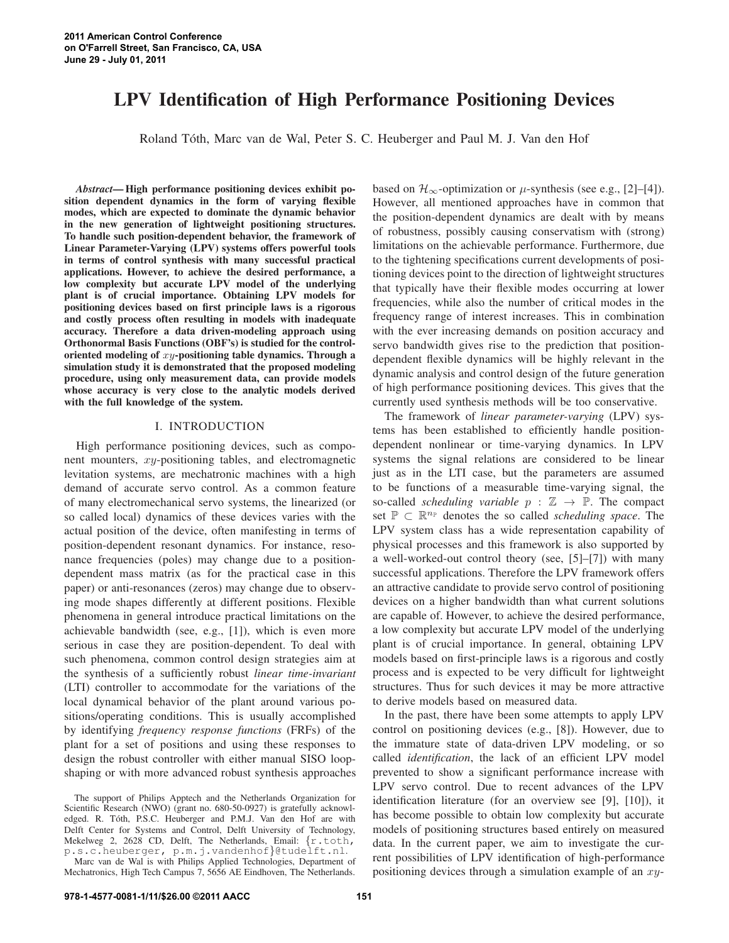# **LPV Identification of High Performance Positioning Devices**

Roland To´th, Marc van de Wal, Peter S. C. Heuberger and Paul M. J. Van den Hof

*Abstract***— High performance positioning devices exhibit position dependent dynamics in the form of varying flexible modes, which are expected to dominate the dynamic behavior in the new generation of lightweight positioning structures. To handle such position-dependent behavior, the framework of Linear Parameter-Varying (LPV) systems offers powerful tools in terms of control synthesis with many successful practical applications. However, to achieve the desired performance, a low complexity but accurate LPV model of the underlying plant is of crucial importance. Obtaining LPV models for positioning devices based on first principle laws is a rigorous and costly process often resulting in models with inadequate accuracy. Therefore a data driven-modeling approach using Orthonormal Basis Functions (OBF's) is studied for the controloriented modeling of** xy**-positioning table dynamics. Through a simulation study it is demonstrated that the proposed modeling procedure, using only measurement data, can provide models whose accuracy is very close to the analytic models derived with the full knowledge of the system.**

# I. INTRODUCTION

High performance positioning devices, such as component mounters, xy-positioning tables, and electromagnetic levitation systems, are mechatronic machines with a high demand of accurate servo control. As a common feature of many electromechanical servo systems, the linearized (or so called local) dynamics of these devices varies with the actual position of the device, often manifesting in terms of position-dependent resonant dynamics. For instance, resonance frequencies (poles) may change due to a positiondependent mass matrix (as for the practical case in this paper) or anti-resonances (zeros) may change due to observing mode shapes differently at different positions. Flexible phenomena in general introduce practical limitations on the achievable bandwidth (see, e.g., [1]), which is even more serious in case they are position-dependent. To deal with such phenomena, common control design strategies aim at the synthesis of a sufficiently robust *linear time-invariant* (LTI) controller to accommodate for the variations of the local dynamical behavior of the plant around various positions/operating conditions. This is usually accomplished by identifying *frequency response functions* (FRFs) of the plant for a set of positions and using these responses to design the robust controller with either manual SISO loopshaping or with more advanced robust synthesis approaches based on  $\mathcal{H}_{\infty}$ -optimization or  $\mu$ -synthesis (see e.g., [2]–[4]). However, all mentioned approaches have in common that the position-dependent dynamics are dealt with by means of robustness, possibly causing conservatism with (strong) limitations on the achievable performance. Furthermore, due to the tightening specifications current developments of positioning devices point to the direction of lightweight structures that typically have their flexible modes occurring at lower frequencies, while also the number of critical modes in the frequency range of interest increases. This in combination with the ever increasing demands on position accuracy and servo bandwidth gives rise to the prediction that positiondependent flexible dynamics will be highly relevant in the dynamic analysis and control design of the future generation of high performance positioning devices. This gives that the currently used synthesis methods will be too conservative.

The framework of *linear parameter-varying* (LPV) systems has been established to efficiently handle positiondependent nonlinear or time-varying dynamics. In LPV systems the signal relations are considered to be linear just as in the LTI case, but the parameters are assumed to be functions of a measurable time-varying signal, the so-called *scheduling variable*  $p : \mathbb{Z} \to \mathbb{P}$ . The compact set  $\mathbb{P} \subset \mathbb{R}^{n_{\mathbb{P}}}$  denotes the so called *scheduling space*. The LPV system class has a wide representation capability of physical processes and this framework is also supported by a well-worked-out control theory (see, [5]–[7]) with many successful applications. Therefore the LPV framework offers an attractive candidate to provide servo control of positioning devices on a higher bandwidth than what current solutions are capable of. However, to achieve the desired performance, a low complexity but accurate LPV model of the underlying plant is of crucial importance. In general, obtaining LPV models based on first-principle laws is a rigorous and costly process and is expected to be very difficult for lightweight structures. Thus for such devices it may be more attractive to derive models based on measured data.

In the past, there have been some attempts to apply LPV control on positioning devices (e.g., [8]). However, due to the immature state of data-driven LPV modeling, or so called *identification*, the lack of an efficient LPV model prevented to show a significant performance increase with LPV servo control. Due to recent advances of the LPV identification literature (for an overview see [9], [10]), it has become possible to obtain low complexity but accurate models of positioning structures based entirely on measured data. In the current paper, we aim to investigate the current possibilities of LPV identification of high-performance positioning devices through a simulation example of an  $xy$ -

The support of Philips Apptech and the Netherlands Organization for Scientific Research (NWO) (grant no. 680-50-0927) is gratefully acknowledged. R. Tóth, P.S.C. Heuberger and P.M.J. Van den Hof are with Delft Center for Systems and Control, Delft University of Technology, Mekelweg 2, 2628 CD, Delft, The Netherlands, Email: {r.toth, p.s.c.heuberger, p.m.j.vandenhof}@tudelft.nl.

Marc van de Wal is with Philips Applied Technologies, Department of Mechatronics, High Tech Campus 7, 5656 AE Eindhoven, The Netherlands.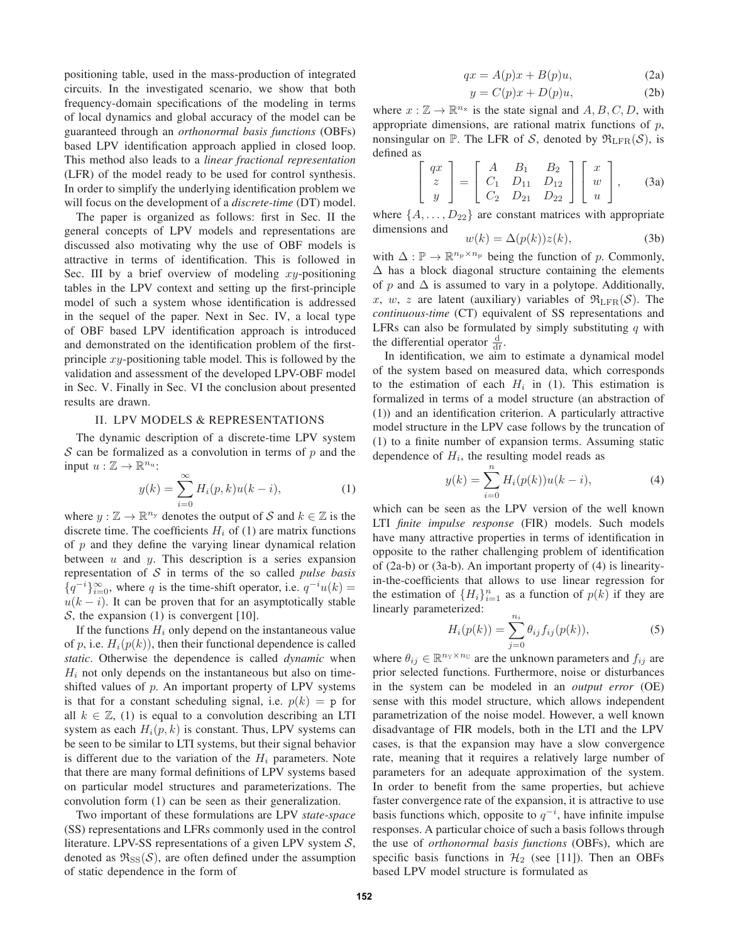positioning table, used in the mass-production of integrated circuits. In the investigated scenario, we show that both frequency-domain specifications of the modeling in terms of local dynamics and global accuracy of the model can be guaranteed through an *orthonormal basis functions* (OBFs) based LPV identification approach applied in closed loop. This method also leads to a *linear fractional representation* (LFR) of the model ready to be used for control synthesis. In order to simplify the underlying identification problem we will focus on the development of a *discrete-time* (DT) model.

The paper is organized as follows: first in Sec. II the general concepts of LPV models and representations are discussed also motivating why the use of OBF models is attractive in terms of identification. This is followed in Sec. III by a brief overview of modeling  $xy$ -positioning tables in the LPV context and setting up the first-principle model of such a system whose identification is addressed in the sequel of the paper. Next in Sec. IV, a local type of OBF based LPV identification approach is introduced and demonstrated on the identification problem of the firstprinciple  $xy$ -positioning table model. This is followed by the validation and assessment of the developed LPV-OBF model in Sec. V. Finally in Sec. VI the conclusion about presented results are drawn.

### II. LPV MODELS & REPRESENTATIONS

The dynamic description of a discrete-time LPV system  $S$  can be formalized as a convolution in terms of  $p$  and the input  $u : \mathbb{Z} \to \mathbb{R}^{n_u}$ :

$$
y(k) = \sum_{i=0}^{\infty} H_i(p,k)u(k-i),
$$
 (1)

where  $y : \mathbb{Z} \to \mathbb{R}^{n_y}$  denotes the output of S and  $k \in \mathbb{Z}$  is the discrete time. The coefficients  $H_i$  of (1) are matrix functions of  $p$  and they define the varying linear dynamical relation between  $u$  and  $y$ . This description is a series expansion representation of S in terms of the so called *pulse basis*  $\{q^{-i}\}_{i=0}^{\infty}$ , where q is the time-shift operator, i.e.  $q^{-i}u(k)$  =  $u(k - i)$ . It can be proven that for an asymptotically stable S, the expansion  $(1)$  is convergent  $[10]$ .

If the functions  $H_i$  only depend on the instantaneous value of p, i.e.  $H_i(p(k))$ , then their functional dependence is called *static*. Otherwise the dependence is called *dynamic* when  $H_i$  not only depends on the instantaneous but also on timeshifted values of  $p$ . An important property of LPV systems is that for a constant scheduling signal, i.e.  $p(k) = p$  for all  $k \in \mathbb{Z}$ , (1) is equal to a convolution describing an LTI system as each  $H_i(p, k)$  is constant. Thus, LPV systems can be seen to be similar to LTI systems, but their signal behavior is different due to the variation of the  $H_i$  parameters. Note that there are many formal definitions of LPV systems based on particular model structures and parameterizations. The convolution form (1) can be seen as their generalization.

Two important of these formulations are LPV *state-space* (SS) representations and LFRs commonly used in the control literature. LPV-SS representations of a given LPV system  $S$ , denoted as  $\mathfrak{R}_{SS}(\mathcal{S})$ , are often defined under the assumption of static dependence in the form of

$$
qx = A(p)x + B(p)u,
$$
 (2a)

$$
y = C(p)x + D(p)u,
$$
 (2b)

where  $x : \mathbb{Z} \to \mathbb{R}^{n_x}$  is the state signal and  $A, B, C, D$ , with appropriate dimensions, are rational matrix functions of  $p$ , nonsingular on P. The LFR of S, denoted by  $\Re_{\text{LFR}}(\mathcal{S})$ , is defined as

$$
\begin{bmatrix} qx \\ z \\ y \end{bmatrix} = \begin{bmatrix} A & B_1 & B_2 \\ C_1 & D_{11} & D_{12} \\ C_2 & D_{21} & D_{22} \end{bmatrix} \begin{bmatrix} x \\ w \\ u \end{bmatrix}, \quad (3a)
$$

where  $\{A, \ldots, D_{22}\}$  are constant matrices with appropriate dimensions and

$$
w(k) = \Delta(p(k))z(k),
$$
 (3b)

with  $\Delta : \mathbb{P} \to \mathbb{R}^{n_p \times n_p}$  being the function of p. Commonly,  $\Delta$  has a block diagonal structure containing the elements of p and  $\Delta$  is assumed to vary in a polytope. Additionally, x, w, z are latent (auxiliary) variables of  $\mathfrak{R}_{\mathrm{LFR}}(\mathcal{S})$ . The *continuous-time* (CT) equivalent of SS representations and LFRs can also be formulated by simply substituting  $q$  with the differential operator  $\frac{d}{dt}$ .

In identification, we aim to estimate a dynamical model of the system based on measured data, which corresponds to the estimation of each  $H_i$  in (1). This estimation is formalized in terms of a model structure (an abstraction of (1)) and an identification criterion. A particularly attractive model structure in the LPV case follows by the truncation of (1) to a finite number of expansion terms. Assuming static dependence of  $H_i$ , the resulting model reads as

$$
y(k) = \sum_{i=0}^{n} H_i(p(k))u(k-i),
$$
 (4)

which can be seen as the LPV version of the well known LTI *finite impulse response* (FIR) models. Such models have many attractive properties in terms of identification in opposite to the rather challenging problem of identification of (2a-b) or (3a-b). An important property of (4) is linearityin-the-coefficients that allows to use linear regression for the estimation of  $\{H_i\}_{i=1}^n$  as a function of  $p(k)$  if they are linearly parameterized:

$$
H_i(p(k)) = \sum_{j=0}^{n_i} \theta_{ij} f_{ij}(p(k)),
$$
 (5)

where  $\theta_{ij} \in \mathbb{R}^{n_{\mathbb{Y}} \times n_{\mathbb{U}}}$  are the unknown parameters and  $f_{ij}$  are prior selected functions. Furthermore, noise or disturbances in the system can be modeled in an *output error* (OE) sense with this model structure, which allows independent parametrization of the noise model. However, a well known disadvantage of FIR models, both in the LTI and the LPV cases, is that the expansion may have a slow convergence rate, meaning that it requires a relatively large number of parameters for an adequate approximation of the system. In order to benefit from the same properties, but achieve faster convergence rate of the expansion, it is attractive to use basis functions which, opposite to  $q^{-i}$ , have infinite impulse responses. A particular choice of such a basis follows through the use of *orthonormal basis functions* (OBFs), which are specific basis functions in  $H_2$  (see [11]). Then an OBFs based LPV model structure is formulated as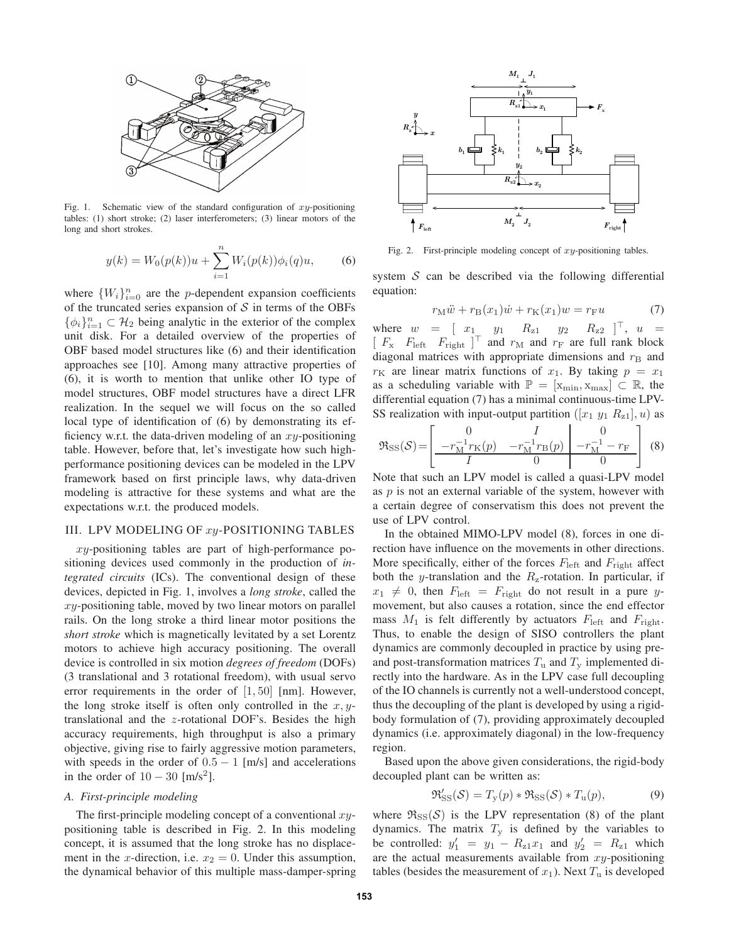

Fig. 1. Schematic view of the standard configuration of  $xy$ -positioning tables: (1) short stroke; (2) laser interferometers; (3) linear motors of the long and short strokes.

$$
y(k) = W_0(p(k))u + \sum_{i=1}^{n} W_i(p(k))\phi_i(q)u,
$$
 (6)

where  $\{W_i\}_{i=0}^n$  are the *p*-dependent expansion coefficients of the truncated series expansion of  $S$  in terms of the OBFs  $\{\phi_i\}_{i=1}^n \subset \mathcal{H}_2$  being analytic in the exterior of the complex unit disk. For a detailed overview of the properties of OBF based model structures like (6) and their identification approaches see [10]. Among many attractive properties of (6), it is worth to mention that unlike other IO type of model structures, OBF model structures have a direct LFR realization. In the sequel we will focus on the so called local type of identification of (6) by demonstrating its efficiency w.r.t. the data-driven modeling of an  $xy$ -positioning table. However, before that, let's investigate how such highperformance positioning devices can be modeled in the LPV framework based on first principle laws, why data-driven modeling is attractive for these systems and what are the expectations w.r.t. the produced models.

# III. LPV MODELING OF xy-POSITIONING TABLES

xy-positioning tables are part of high-performance positioning devices used commonly in the production of *integrated circuits* (ICs). The conventional design of these devices, depicted in Fig. 1, involves a *long stroke*, called the  $xy$ -positioning table, moved by two linear motors on parallel rails. On the long stroke a third linear motor positions the *short stroke* which is magnetically levitated by a set Lorentz motors to achieve high accuracy positioning. The overall device is controlled in six motion *degrees of freedom* (DOFs) (3 translational and 3 rotational freedom), with usual servo error requirements in the order of  $[1, 50]$  [nm]. However, the long stroke itself is often only controlled in the  $x, y$ translational and the z-rotational DOF's. Besides the high accuracy requirements, high throughput is also a primary objective, giving rise to fairly aggressive motion parameters, with speeds in the order of  $0.5 - 1$  [m/s] and accelerations in the order of  $10 - 30$  [m/s<sup>2</sup>].

#### *A. First-principle modeling*

The first-principle modeling concept of a conventional  $xy$ positioning table is described in Fig. 2. In this modeling concept, it is assumed that the long stroke has no displacement in the x-direction, i.e.  $x_2 = 0$ . Under this assumption, the dynamical behavior of this multiple mass-damper-spring



Fig. 2. First-principle modeling concept of  $xy$ -positioning tables.

system  $S$  can be described via the following differential equation:

$$
r_{\mathcal{M}}\ddot{w} + r_{\mathcal{B}}(x_1)\dot{w} + r_{\mathcal{K}}(x_1)w = r_{\mathcal{F}}u\tag{7}
$$

where  $w = [x_1 \quad y_1 \quad R_{z1} \quad y_2 \quad R_{z2}]^\top$ ,  $u =$  $[F_{\rm x}$   $F_{\rm left}$   $F_{\rm right}$   $]^\top$  and  $r_{\rm M}$  and  $r_{\rm F}$  are full rank block diagonal matrices with appropriate dimensions and  $r<sub>B</sub>$  and  $r<sub>K</sub>$  are linear matrix functions of  $x<sub>1</sub>$ . By taking  $p = x<sub>1</sub>$ as a scheduling variable with  $\mathbb{P} = [x_{\min}, x_{\max}] \subset \mathbb{R}$ , the differential equation (7) has a minimal continuous-time LPV-SS realization with input-output partition  $([x_1 \, y_1 \, R_{z1}], u)$  as

$$
\Re_{\rm SS}(\mathcal{S}) = \left[ \begin{array}{cc|c} 0 & I & 0 \\ \hline -r_{\rm M}^{-1}r_{\rm K}(p) & -r_{\rm M}^{-1}r_{\rm B}(p) & -r_{\rm M}^{-1} - r_{\rm F} \\ \hline I & 0 & 0 \end{array} \right] (8)
$$

Note that such an LPV model is called a quasi-LPV model as  $p$  is not an external variable of the system, however with a certain degree of conservatism this does not prevent the use of LPV control.

In the obtained MIMO-LPV model (8), forces in one direction have influence on the movements in other directions. More specifically, either of the forces  $F_{\text{left}}$  and  $F_{\text{right}}$  affect both the y-translation and the  $R_{z}$ -rotation. In particular, if  $x_1 \neq 0$ , then  $F_{\text{left}} = F_{\text{right}}$  do not result in a pure ymovement, but also causes a rotation, since the end effector mass  $M_1$  is felt differently by actuators  $F_{\text{left}}$  and  $F_{\text{right}}$ . Thus, to enable the design of SISO controllers the plant dynamics are commonly decoupled in practice by using preand post-transformation matrices  $T_u$  and  $T_v$  implemented directly into the hardware. As in the LPV case full decoupling of the IO channels is currently not a well-understood concept, thus the decoupling of the plant is developed by using a rigidbody formulation of (7), providing approximately decoupled dynamics (i.e. approximately diagonal) in the low-frequency region.

Based upon the above given considerations, the rigid-body decoupled plant can be written as:

$$
\mathfrak{R}'_{\mathrm{SS}}(\mathcal{S}) = T_{\mathrm{y}}(p) * \mathfrak{R}_{\mathrm{SS}}(\mathcal{S}) * T_{\mathrm{u}}(p), \tag{9}
$$

where  $\Re$ <sub>SS</sub>(S) is the LPV representation (8) of the plant dynamics. The matrix  $T<sub>y</sub>$  is defined by the variables to be controlled:  $y'_1 = y_1 - R_{z1}x_1$  and  $y'_2 = R_{z1}$  which are the actual measurements available from  $xy$ -positioning tables (besides the measurement of  $x_1$ ). Next  $T_u$  is developed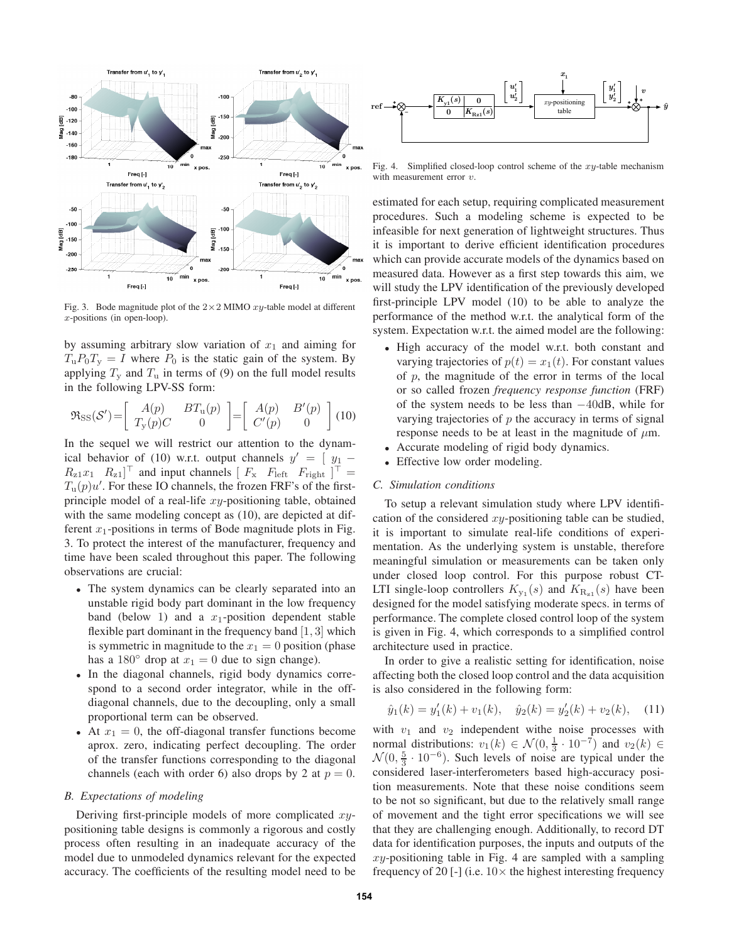

Fig. 3. Bode magnitude plot of the  $2 \times 2$  MIMO  $xy$ -table model at different x-positions (in open-loop).

by assuming arbitrary slow variation of  $x_1$  and aiming for  $T_{\rm u}P_0T_{\rm v}=I$  where  $P_0$  is the static gain of the system. By applying  $T_v$  and  $T_u$  in terms of (9) on the full model results in the following LPV-SS form:

$$
\mathfrak{R}_{\rm SS}(\mathcal{S}') = \left[ \begin{array}{cc} A(p) & BT_{\rm u}(p) \\ T_{\rm y}(p)C & 0 \end{array} \right] = \left[ \begin{array}{cc} A(p) & B'(p) \\ C'(p) & 0 \end{array} \right] (10)
$$

In the sequel we will restrict our attention to the dynamical behavior of (10) w.r.t. output channels  $y' = \begin{bmatrix} y_1 - y_2 \end{bmatrix}$  $R_{z1}x_1$   $R_{z1}$ <sup>T</sup> and input channels  $\left[ \begin{array}{cc} F_x & F_{\text{left}} \end{array} \right]$   $\begin{array}{c} F_{\text{right}} \end{array}$   $\right]$ <sup>T</sup> =  $T_u(p)u'$ . For these IO channels, the frozen FRF's of the firstprinciple model of a real-life  $xy$ -positioning table, obtained with the same modeling concept as  $(10)$ , are depicted at different  $x_1$ -positions in terms of Bode magnitude plots in Fig. 3. To protect the interest of the manufacturer, frequency and time have been scaled throughout this paper. The following observations are crucial:

- The system dynamics can be clearly separated into an unstable rigid body part dominant in the low frequency band (below 1) and a  $x_1$ -position dependent stable flexible part dominant in the frequency band [1, 3] which is symmetric in magnitude to the  $x_1 = 0$  position (phase has a 180 $\degree$  drop at  $x_1 = 0$  due to sign change).
- In the diagonal channels, rigid body dynamics correspond to a second order integrator, while in the offdiagonal channels, due to the decoupling, only a small proportional term can be observed.
- At  $x_1 = 0$ , the off-diagonal transfer functions become aprox. zero, indicating perfect decoupling. The order of the transfer functions corresponding to the diagonal channels (each with order 6) also drops by 2 at  $p = 0$ .

#### *B. Expectations of modeling*

Deriving first-principle models of more complicated  $xy$ positioning table designs is commonly a rigorous and costly process often resulting in an inadequate accuracy of the model due to unmodeled dynamics relevant for the expected accuracy. The coefficients of the resulting model need to be



Fig. 4. Simplified closed-loop control scheme of the  $xy$ -table mechanism with measurement error  $v$ .

estimated for each setup, requiring complicated measurement procedures. Such a modeling scheme is expected to be infeasible for next generation of lightweight structures. Thus it is important to derive efficient identification procedures which can provide accurate models of the dynamics based on measured data. However as a first step towards this aim, we will study the LPV identification of the previously developed first-principle LPV model (10) to be able to analyze the performance of the method w.r.t. the analytical form of the system. Expectation w.r.t. the aimed model are the following:

- High accuracy of the model w.r.t. both constant and varying trajectories of  $p(t) = x_1(t)$ . For constant values of  $p$ , the magnitude of the error in terms of the local or so called frozen *frequency response function* (FRF) of the system needs to be less than −40dB, while for varying trajectories of  $p$  the accuracy in terms of signal response needs to be at least in the magnitude of  $\mu$ m.
- Accurate modeling of rigid body dynamics.
- Effective low order modeling.

# *C. Simulation conditions*

To setup a relevant simulation study where LPV identification of the considered  $xy$ -positioning table can be studied, it is important to simulate real-life conditions of experimentation. As the underlying system is unstable, therefore meaningful simulation or measurements can be taken only under closed loop control. For this purpose robust CT-LTI single-loop controllers  $K_{y_1}(s)$  and  $K_{R_{z_1}}(s)$  have been designed for the model satisfying moderate specs. in terms of performance. The complete closed control loop of the system is given in Fig. 4, which corresponds to a simplified control architecture used in practice.

In order to give a realistic setting for identification, noise affecting both the closed loop control and the data acquisition is also considered in the following form:

$$
\hat{y}_1(k) = y'_1(k) + v_1(k), \quad \hat{y}_2(k) = y'_2(k) + v_2(k),
$$
 (11)

with  $v_1$  and  $v_2$  independent withe noise processes with normal distributions:  $v_1(k) \in \mathcal{N}(0, \frac{1}{3} \cdot 10^{-7})$  and  $v_2(k) \in$  $\mathcal{N}(0, \frac{5}{3} \cdot 10^{-6})$ . Such levels of noise are typical under the considered laser-interferometers based high-accuracy position measurements. Note that these noise conditions seem to be not so significant, but due to the relatively small range of movement and the tight error specifications we will see that they are challenging enough. Additionally, to record DT data for identification purposes, the inputs and outputs of the  $xy$ -positioning table in Fig. 4 are sampled with a sampling frequency of 20 [-] (i.e.  $10\times$  the highest interesting frequency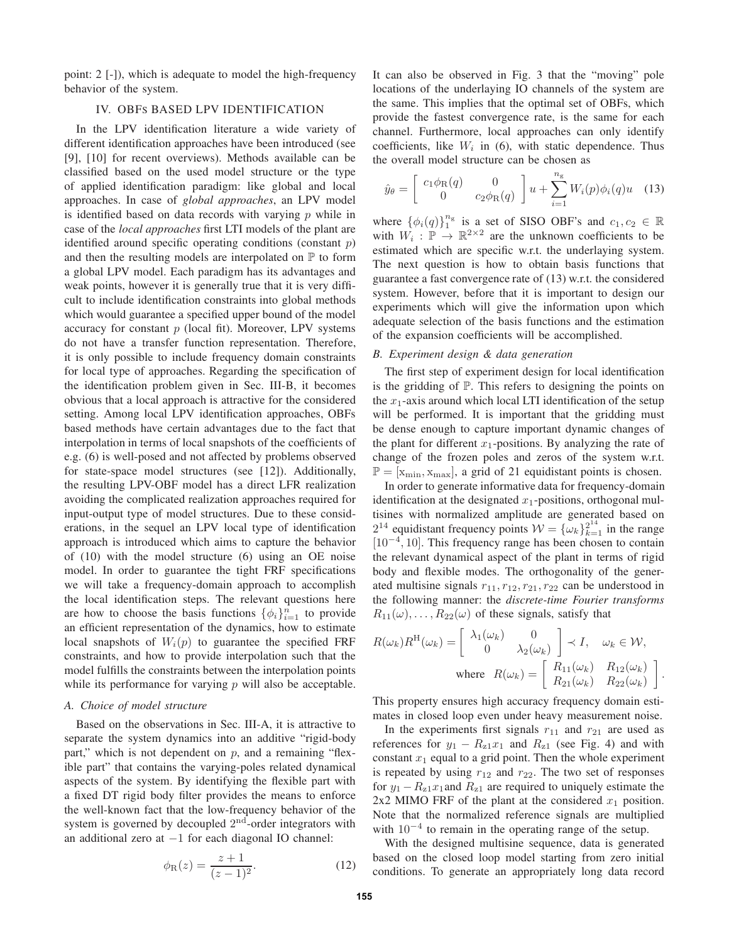point: 2 [-]), which is adequate to model the high-frequency behavior of the system.

# IV. OBFS BASED LPV IDENTIFICATION

In the LPV identification literature a wide variety of different identification approaches have been introduced (see [9], [10] for recent overviews). Methods available can be classified based on the used model structure or the type of applied identification paradigm: like global and local approaches. In case of *global approaches*, an LPV model is identified based on data records with varying  $p$  while in case of the *local approaches* first LTI models of the plant are identified around specific operating conditions (constant  $p$ ) and then the resulting models are interpolated on  $\mathbb P$  to form a global LPV model. Each paradigm has its advantages and weak points, however it is generally true that it is very difficult to include identification constraints into global methods which would guarantee a specified upper bound of the model accuracy for constant  $p$  (local fit). Moreover, LPV systems do not have a transfer function representation. Therefore, it is only possible to include frequency domain constraints for local type of approaches. Regarding the specification of the identification problem given in Sec. III-B, it becomes obvious that a local approach is attractive for the considered setting. Among local LPV identification approaches, OBFs based methods have certain advantages due to the fact that interpolation in terms of local snapshots of the coefficients of e.g. (6) is well-posed and not affected by problems observed for state-space model structures (see [12]). Additionally, the resulting LPV-OBF model has a direct LFR realization avoiding the complicated realization approaches required for input-output type of model structures. Due to these considerations, in the sequel an LPV local type of identification approach is introduced which aims to capture the behavior of (10) with the model structure (6) using an OE noise model. In order to guarantee the tight FRF specifications we will take a frequency-domain approach to accomplish the local identification steps. The relevant questions here are how to choose the basis functions  $\{\phi_i\}_{i=1}^n$  to provide an efficient representation of the dynamics, how to estimate local snapshots of  $W_i(p)$  to guarantee the specified FRF constraints, and how to provide interpolation such that the model fulfills the constraints between the interpolation points while its performance for varying  $p$  will also be acceptable.

# *A. Choice of model structure*

Based on the observations in Sec. III-A, it is attractive to separate the system dynamics into an additive "rigid-body part," which is not dependent on  $p$ , and a remaining "flexible part" that contains the varying-poles related dynamical aspects of the system. By identifying the flexible part with a fixed DT rigid body filter provides the means to enforce the well-known fact that the low-frequency behavior of the system is governed by decoupled  $2<sup>nd</sup>$ -order integrators with an additional zero at −1 for each diagonal IO channel:

$$
\phi_{R}(z) = \frac{z+1}{(z-1)^{2}}.
$$
\n(12)

It can also be observed in Fig. 3 that the "moving" pole locations of the underlaying IO channels of the system are the same. This implies that the optimal set of OBFs, which provide the fastest convergence rate, is the same for each channel. Furthermore, local approaches can only identify coefficients, like  $W_i$  in (6), with static dependence. Thus the overall model structure can be chosen as

$$
\hat{y}_{\theta} = \begin{bmatrix} c_1 \phi_{\mathcal{R}}(q) & 0 \\ 0 & c_2 \phi_{\mathcal{R}}(q) \end{bmatrix} u + \sum_{i=1}^{n_g} W_i(p) \phi_i(q) u \quad (13)
$$

where  $\{\phi_i(q)\}_{1}^{n_g}$  is a set of SISO OBF's and  $c_1, c_2 \in \mathbb{R}$ with  $W_i : \mathbb{P} \to \mathbb{R}^{2 \times 2}$  are the unknown coefficients to be estimated which are specific w.r.t. the underlaying system. The next question is how to obtain basis functions that guarantee a fast convergence rate of (13) w.r.t. the considered system. However, before that it is important to design our experiments which will give the information upon which adequate selection of the basis functions and the estimation of the expansion coefficients will be accomplished.

## *B. Experiment design & data generation*

The first step of experiment design for local identification is the gridding of P. This refers to designing the points on the  $x_1$ -axis around which local LTI identification of the setup will be performed. It is important that the gridding must be dense enough to capture important dynamic changes of the plant for different  $x_1$ -positions. By analyzing the rate of change of the frozen poles and zeros of the system w.r.t.  $\mathbb{P} = [\mathbf{x}_{\text{min}}, \mathbf{x}_{\text{max}}]$ , a grid of 21 equidistant points is chosen.

In order to generate informative data for frequency-domain identification at the designated  $x_1$ -positions, orthogonal multisines with normalized amplitude are generated based on  $2^{14}$  equidistant frequency points  $W = {\omega_k}_{k=1}^{2^{14}}$  in the range  $[10^{-4}, 10]$ . This frequency range has been chosen to contain the relevant dynamical aspect of the plant in terms of rigid body and flexible modes. The orthogonality of the generated multisine signals  $r_{11}$ ,  $r_{12}$ ,  $r_{21}$ ,  $r_{22}$  can be understood in the following manner: the *discrete-time Fourier transforms*  $R_{11}(\omega), \ldots, R_{22}(\omega)$  of these signals, satisfy that

$$
R(\omega_k)R^{\mathrm{H}}(\omega_k) = \begin{bmatrix} \lambda_1(\omega_k) & 0 \\ 0 & \lambda_2(\omega_k) \end{bmatrix} \prec I, \quad \omega_k \in \mathcal{W},
$$
  
where 
$$
R(\omega_k) = \begin{bmatrix} R_{11}(\omega_k) & R_{12}(\omega_k) \\ R_{21}(\omega_k) & R_{22}(\omega_k) \end{bmatrix}.
$$

This property ensures high accuracy frequency domain estimates in closed loop even under heavy measurement noise.

In the experiments first signals  $r_{11}$  and  $r_{21}$  are used as references for  $y_1 - R_{z1}x_1$  and  $R_{z1}$  (see Fig. 4) and with constant  $x_1$  equal to a grid point. Then the whole experiment is repeated by using  $r_{12}$  and  $r_{22}$ . The two set of responses for  $y_1 - R_{z1}x_1$  and  $R_{z1}$  are required to uniquely estimate the 2x2 MIMO FRF of the plant at the considered  $x_1$  position. Note that the normalized reference signals are multiplied with  $10^{-4}$  to remain in the operating range of the setup.

With the designed multisine sequence, data is generated based on the closed loop model starting from zero initial conditions. To generate an appropriately long data record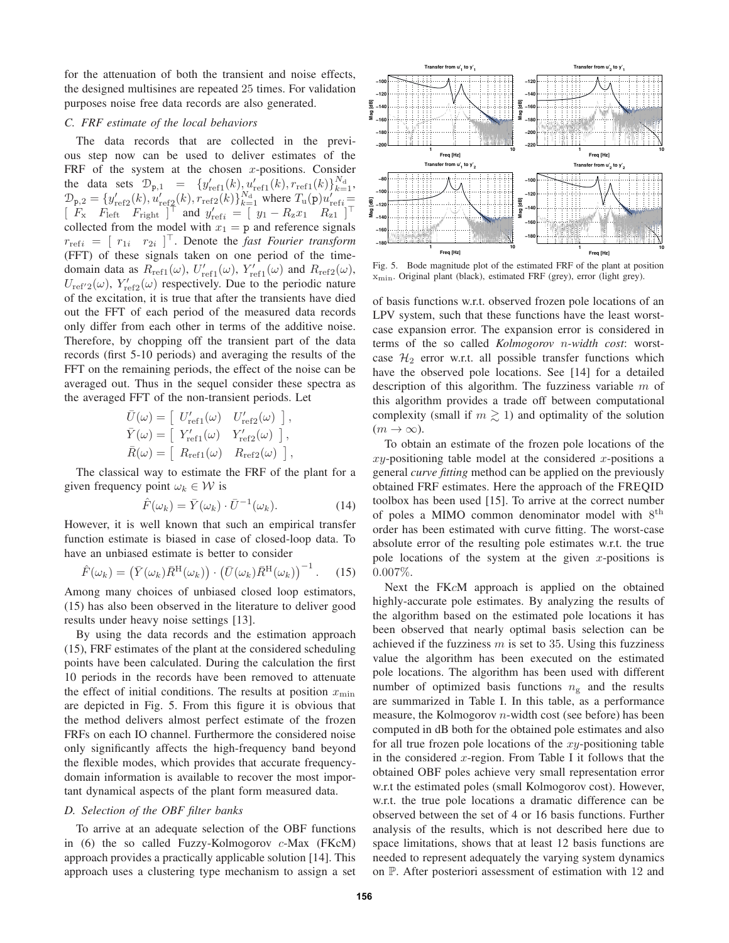for the attenuation of both the transient and noise effects, the designed multisines are repeated 25 times. For validation purposes noise free data records are also generated.

## *C. FRF estimate of the local behaviors*

The data records that are collected in the previous step now can be used to deliver estimates of the FRF of the system at the chosen  $x$ -positions. Consider the data sets  $\mathcal{D}_{p,1} = \{y'_{ref1}(k), y'_{ref1}(k), r_{ref1}(k)\}_{k=1}^{N_d},$  $\mathcal{D}_{p,2} = \{y'_{ref2}(k), u'_{ref2}(k), r_{ref2}(k)\}_{k=1}^{N_d}$  where  $T_u(p)u'_{refi}$  $\left[ \begin{array}{cc} F_x & F_{\text{left}} & F_{\text{right}} \end{array} \right]^\top$  and  $y'_{\text{ref}i} = \left[ \begin{array}{cc} y_1 - R_z x_1 & R_{z1} \end{array} \right]^\top$ collected from the model with  $x_1 = p$  and reference signals  $r_{\text{refi}} = [r_{1i} \quad r_{2i}]^\top$ . Denote the *fast Fourier transform* (FFT) of these signals taken on one period of the timedomain data as  $R_{\text{ref1}}(\omega)$ ,  $U'_{\text{ref1}}(\omega)$ ,  $Y'_{\text{ref1}}(\omega)$  and  $R_{\text{ref2}}(\omega)$ ,  $U_{\text{ref}'2}(\omega)$ ,  $Y'_{\text{ref}2}(\omega)$  respectively. Due to the periodic nature of the excitation, it is true that after the transients have died out the FFT of each period of the measured data records only differ from each other in terms of the additive noise. Therefore, by chopping off the transient part of the data records (first 5-10 periods) and averaging the results of the FFT on the remaining periods, the effect of the noise can be averaged out. Thus in the sequel consider these spectra as the averaged FFT of the non-transient periods. Let

$$
\begin{aligned}\n\bar{U}(\omega) &= \left[ \begin{array}{cc} U'_{\text{ref1}}(\omega) & U'_{\text{ref2}}(\omega) \end{array} \right], \\
\bar{Y}(\omega) &= \left[ \begin{array}{cc} Y'_{\text{ref1}}(\omega) & Y'_{\text{ref2}}(\omega) \end{array} \right], \\
\bar{R}(\omega) &= \left[ \begin{array}{cc} R_{\text{ref1}}(\omega) & R_{\text{ref2}}(\omega) \end{array} \right],\n\end{aligned}
$$

The classical way to estimate the FRF of the plant for a given frequency point  $\omega_k \in \mathcal{W}$  is

$$
\hat{F}(\omega_k) = \bar{Y}(\omega_k) \cdot \bar{U}^{-1}(\omega_k).
$$
\n(14)

However, it is well known that such an empirical transfer function estimate is biased in case of closed-loop data. To have an unbiased estimate is better to consider

$$
\hat{F}(\omega_k) = \left(\bar{Y}(\omega_k)\bar{R}^{\mathrm{H}}(\omega_k)\right) \cdot \left(\bar{U}(\omega_k)\bar{R}^{\mathrm{H}}(\omega_k)\right)^{-1}.\tag{15}
$$

Among many choices of unbiased closed loop estimators, (15) has also been observed in the literature to deliver good results under heavy noise settings [13].

By using the data records and the estimation approach (15), FRF estimates of the plant at the considered scheduling points have been calculated. During the calculation the first 10 periods in the records have been removed to attenuate the effect of initial conditions. The results at position  $x_{\min}$ are depicted in Fig. 5. From this figure it is obvious that the method delivers almost perfect estimate of the frozen FRFs on each IO channel. Furthermore the considered noise only significantly affects the high-frequency band beyond the flexible modes, which provides that accurate frequencydomain information is available to recover the most important dynamical aspects of the plant form measured data.

## *D. Selection of the OBF filter banks*

To arrive at an adequate selection of the OBF functions in (6) the so called Fuzzy-Kolmogorov c-Max (FKcM) approach provides a practically applicable solution [14]. This approach uses a clustering type mechanism to assign a set



Fig. 5. Bode magnitude plot of the estimated FRF of the plant at position xmin. Original plant (black), estimated FRF (grey), error (light grey).

of basis functions w.r.t. observed frozen pole locations of an LPV system, such that these functions have the least worstcase expansion error. The expansion error is considered in terms of the so called *Kolmogorov* n*-width cost*: worstcase  $\mathcal{H}_2$  error w.r.t. all possible transfer functions which have the observed pole locations. See [14] for a detailed description of this algorithm. The fuzziness variable m of this algorithm provides a trade off between computational complexity (small if  $m \ge 1$ ) and optimality of the solution  $(m \to \infty).$ 

To obtain an estimate of the frozen pole locations of the  $xy$ -positioning table model at the considered x-positions a general *curve fitting* method can be applied on the previously obtained FRF estimates. Here the approach of the FREQID toolbox has been used [15]. To arrive at the correct number of poles a MIMO common denominator model with  $8^{\text{th}}$ order has been estimated with curve fitting. The worst-case absolute error of the resulting pole estimates w.r.t. the true pole locations of the system at the given  $x$ -positions is 0.007%.

Next the FKcM approach is applied on the obtained highly-accurate pole estimates. By analyzing the results of the algorithm based on the estimated pole locations it has been observed that nearly optimal basis selection can be achieved if the fuzziness  $m$  is set to 35. Using this fuzziness value the algorithm has been executed on the estimated pole locations. The algorithm has been used with different number of optimized basis functions  $n_{\rm g}$  and the results are summarized in Table I. In this table, as a performance measure, the Kolmogorov  $n$ -width cost (see before) has been computed in dB both for the obtained pole estimates and also for all true frozen pole locations of the  $xy$ -positioning table in the considered  $x$ -region. From Table I it follows that the obtained OBF poles achieve very small representation error w.r.t the estimated poles (small Kolmogorov cost). However, w.r.t. the true pole locations a dramatic difference can be observed between the set of 4 or 16 basis functions. Further analysis of the results, which is not described here due to space limitations, shows that at least 12 basis functions are needed to represent adequately the varying system dynamics on P. After posteriori assessment of estimation with 12 and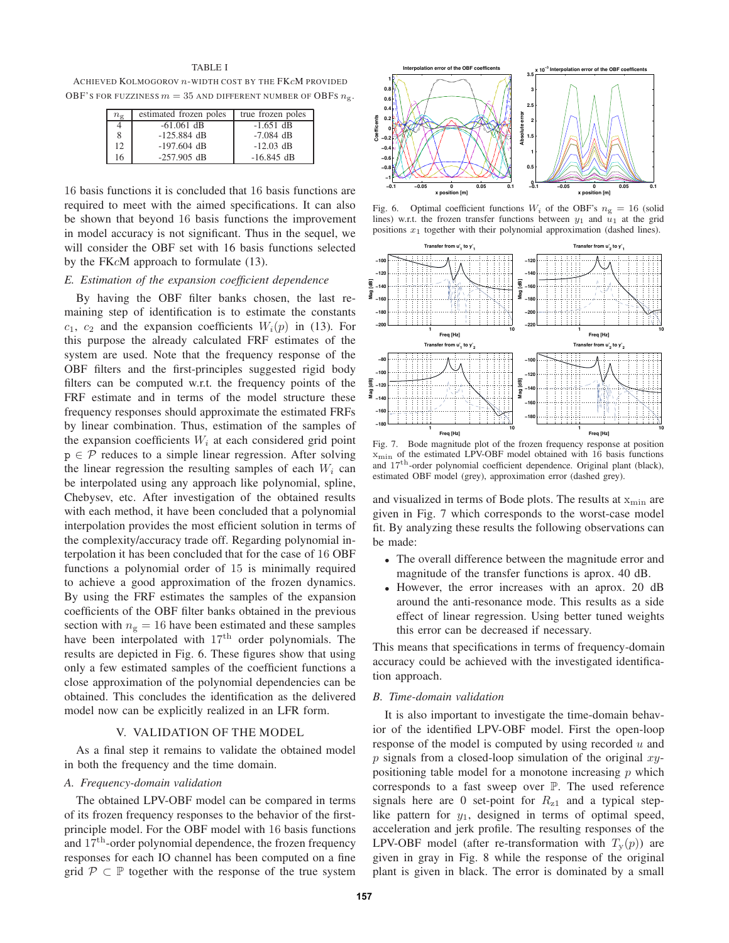## TABLE I

ACHIEVED KOLMOGOROV n-WIDTH COST BY THE FKcM PROVIDED OBF'S FOR FUZZINESS  $m = 35$  AND DIFFERENT NUMBER OF OBFS  $n<sub>g</sub>$ .

| $n_{\rm g}$ | estimated frozen poles | true frozen poles |
|-------------|------------------------|-------------------|
| 4           | $-61.061$ dB           | $-1.651$ dB       |
| 8           | $-125.884$ dB          | $-7.084$ dB       |
| 12          | $-197.604$ dB          | $-12.03$ dB       |
| 16          | $-257.905$ dB          | $-16.845$ dB      |

16 basis functions it is concluded that 16 basis functions are required to meet with the aimed specifications. It can also be shown that beyond 16 basis functions the improvement in model accuracy is not significant. Thus in the sequel, we will consider the OBF set with 16 basis functions selected by the FKcM approach to formulate (13).

# *E. Estimation of the expansion coefficient dependence*

By having the OBF filter banks chosen, the last remaining step of identification is to estimate the constants  $c_1$ ,  $c_2$  and the expansion coefficients  $W_i(p)$  in (13). For this purpose the already calculated FRF estimates of the system are used. Note that the frequency response of the OBF filters and the first-principles suggested rigid body filters can be computed w.r.t. the frequency points of the FRF estimate and in terms of the model structure these frequency responses should approximate the estimated FRFs by linear combination. Thus, estimation of the samples of the expansion coefficients  $W_i$  at each considered grid point  $p \in \mathcal{P}$  reduces to a simple linear regression. After solving the linear regression the resulting samples of each  $W_i$  can be interpolated using any approach like polynomial, spline, Chebysev, etc. After investigation of the obtained results with each method, it have been concluded that a polynomial interpolation provides the most efficient solution in terms of the complexity/accuracy trade off. Regarding polynomial interpolation it has been concluded that for the case of 16 OBF functions a polynomial order of 15 is minimally required to achieve a good approximation of the frozen dynamics. By using the FRF estimates the samples of the expansion coefficients of the OBF filter banks obtained in the previous section with  $n<sub>g</sub> = 16$  have been estimated and these samples have been interpolated with  $17<sup>th</sup>$  order polynomials. The results are depicted in Fig. 6. These figures show that using only a few estimated samples of the coefficient functions a close approximation of the polynomial dependencies can be obtained. This concludes the identification as the delivered model now can be explicitly realized in an LFR form.

### V. VALIDATION OF THE MODEL

As a final step it remains to validate the obtained model in both the frequency and the time domain.

#### *A. Frequency-domain validation*

The obtained LPV-OBF model can be compared in terms of its frozen frequency responses to the behavior of the firstprinciple model. For the OBF model with 16 basis functions and 17<sup>th</sup>-order polynomial dependence, the frozen frequency responses for each IO channel has been computed on a fine grid  $\mathcal{P} \subset \mathbb{P}$  together with the response of the true system



Fig. 6. Optimal coefficient functions  $W_i$  of the OBF's  $n_g = 16$  (solid lines) w.r.t. the frozen transfer functions between  $y_1$  and  $u_1$  at the grid positions  $x_1$  together with their polynomial approximation (dashed lines).



Fig. 7. Bode magnitude plot of the frozen frequency response at position  $x<sub>min</sub>$  of the estimated LPV-OBF model obtained with 16 basis functions and 17th-order polynomial coefficient dependence. Original plant (black), estimated OBF model (grey), approximation error (dashed grey).

and visualized in terms of Bode plots. The results at  $x_{\min}$  are given in Fig. 7 which corresponds to the worst-case model fit. By analyzing these results the following observations can be made:

- The overall difference between the magnitude error and magnitude of the transfer functions is aprox. 40 dB.
- However, the error increases with an aprox. 20 dB around the anti-resonance mode. This results as a side effect of linear regression. Using better tuned weights this error can be decreased if necessary.

This means that specifications in terms of frequency-domain accuracy could be achieved with the investigated identification approach.

#### *B. Time-domain validation*

It is also important to investigate the time-domain behavior of the identified LPV-OBF model. First the open-loop response of the model is computed by using recorded  $u$  and  $p$  signals from a closed-loop simulation of the original  $xy$ positioning table model for a monotone increasing  $p$  which corresponds to a fast sweep over P. The used reference signals here are 0 set-point for  $R_{z1}$  and a typical steplike pattern for  $y_1$ , designed in terms of optimal speed, acceleration and jerk profile. The resulting responses of the LPV-OBF model (after re-transformation with  $T_{\rm v}(p)$ ) are given in gray in Fig. 8 while the response of the original plant is given in black. The error is dominated by a small